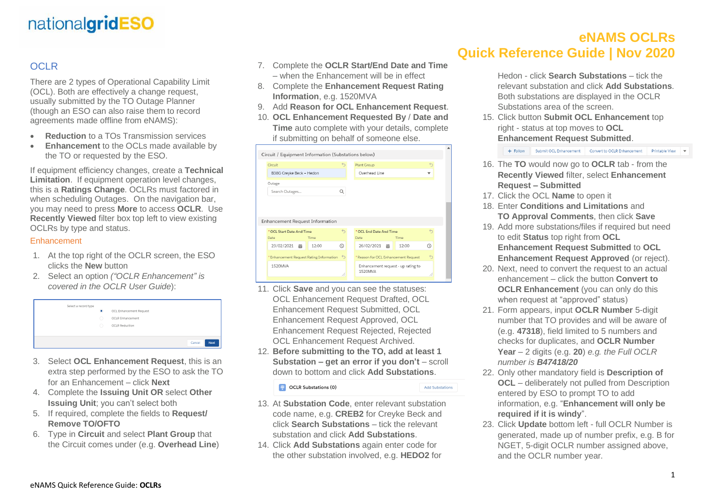# nationalgridESO

### OCLR<sub></sub>

There are 2 types of Operational Capability Limit (OCL). Both are effectively a change request, usually submitted by the TO Outage Planner (though an ESO can also raise them to record agreements made offline from eNAMS):

- **Reduction** to a TOs Transmission services
- **Enhancement** to the OCLs made available by the TO or requested by the ESO.

If equipment efficiency changes, create a **Technical Limitation**. If equipment operation level changes, this is a **Ratings Change**. OCLRs must factored in when scheduling Outages. On the navigation bar, you may need to press **More** to access **OCLR**. Use **Recently Viewed** filter box top left to view existing OCLRs by type and status.

#### Enhancement

- 1. At the top right of the OCLR screen, the ESO clicks the **New** button
- 2. Select an option *("OCLR Enhancement" is covered in the OCLR User Guide*):



- 3. Select **OCL Enhancement Request**, this is an extra step performed by the ESO to ask the TO for an Enhancement – click **Next**
- 4. Complete the **Issuing Unit OR** select **Other Issuing Unit**; you can't select both
- 5. If required, complete the fields to **Request/ Remove TO/OFTO**
- 6. Type in **Circuit** and select **Plant Group** that the Circuit comes under (e.g. **Overhead Line**)
- 7. Complete the **OCLR Start/End Date and Time** – when the Enhancement will be in effect
- 8. Complete the **Enhancement Request Rating Information**, e.g. 1520MVA
- 9. Add **Reason for OCL Enhancement Request**.
- 10. **OCL Enhancement Requested By** / **Date and Time** auto complete with your details, complete if submitting on behalf of someone else.

| $\leftrightarrow$ | Plant Group<br>Overhead Line                  |       | $\leftrightarrow$       |
|-------------------|-----------------------------------------------|-------|-------------------------|
|                   |                                               |       |                         |
|                   |                                               |       |                         |
|                   |                                               |       |                         |
| O                 |                                               |       |                         |
|                   |                                               |       |                         |
|                   |                                               |       |                         |
| $\hat{C}$         | Date                                          | Time  | $\leftrightarrow$       |
| ⊙                 | 26/02/2021<br>繭                               | 12:00 | ⊙                       |
| ⇆                 | * Reason for OCL Enhancement Request          |       | $\overline{a}$          |
| 11                | Enhancement request - up rating to<br>1520MVA |       | //                      |
|                   |                                               |       | * OCL End Date And Time |

- 11. Click **Save** and you can see the statuses: OCL Enhancement Request Drafted, OCL Enhancement Request Submitted, OCL Enhancement Request Approved, OCL Enhancement Request Rejected, Rejected OCL Enhancement Request Archived.
- 12. **Before submitting to the TO, add at least 1 Substation – get an error if you don't** – scroll down to bottom and click **Add Substations**.

OCLR Substations (0)

**Add Substations** 

- 13. At **Substation Code**, enter relevant substation code name, e.g. **CREB2** for Creyke Beck and click **Search Substations** – tick the relevant substation and click **Add Substations**.
- 14. Click **Add Substations** again enter code for the other substation involved, e.g. **HEDO2** for

## **eNAMS OCLRs Quick Reference Guide | Nov 2020**

Hedon - click **Search Substations** – tick the relevant substation and click **Add Substations**. Both substations are displayed in the OCLR Substations area of the screen.

15. Click button **Submit OCL Enhancement** top right - status at top moves to **OCL Enhancement Request Submitted**.

+ Follow Submit OCL Enhancement Convert to OCLR Enhancement Printable View  $\bullet$ 

- 16. The **TO** would now go to **OCLR** tab from the **Recently Viewed** filter, select **Enhancement Request – Submitted**
- 17. Click the OCL **Name** to open it
- 18. Enter **Conditions and Limitations** and **TO Approval Comments**, then click **Save**
- 19. Add more substations/files if required but need to edit **Status** top right from **OCL Enhancement Request Submitted** to **OCL Enhancement Request Approved** (or reject).
- 20. Next, need to convert the request to an actual enhancement – click the button **Convert to OCLR Enhancement** (you can only do this when request at "approved" status)
- 21. Form appears, input **OCLR Number** 5-digit number that TO provides and will be aware of (e.g. **47318**), field limited to 5 numbers and checks for duplicates, and **OCLR Number Year** – 2 digits (e.g. **20**) *e.g. the Full OCLR number is B47418/20*
- 22. Only other mandatory field is **Description of OCL** – deliberately not pulled from Description entered by ESO to prompt TO to add information, e.g. "**Enhancement will only be required if it is windy**".
- 23. Click **Update** bottom left full OCLR Number is generated, made up of number prefix, e.g. B for NGET, 5-digit OCLR number assigned above, and the OCLR number year.